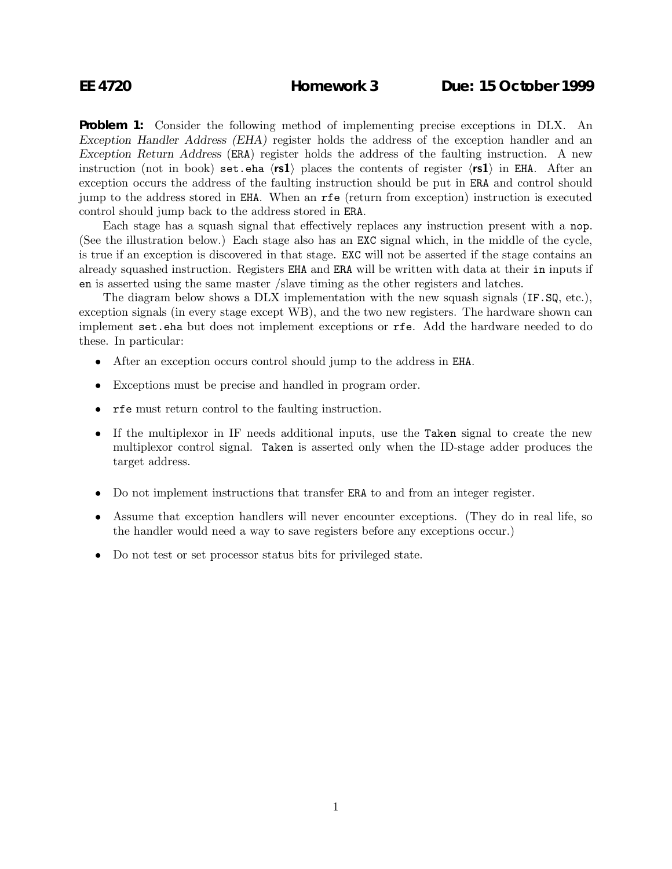**Problem 1:** Consider the following method of implementing precise exceptions in DLX. An *Exception Handler Address (EHA)* register holds the address of the exception handler and an *Exception Return Address* (ERA) register holds the address of the faulting instruction. A new instruction (not in book) set.eha  $\langle rs1 \rangle$  places the contents of register  $\langle rs1 \rangle$  in EHA. After an exception occurs the address of the faulting instruction should be put in ERA and control should jump to the address stored in EHA. When an rfe (return from exception) instruction is executed control should jump back to the address stored in ERA.

Each stage has a squash signal that effectively replaces any instruction present with a nop. (See the illustration below.) Each stage also has an EXC signal which, in the middle of the cycle, is true if an exception is discovered in that stage. EXC will not be asserted if the stage contains an already squashed instruction. Registers EHA and ERA will be written with data at their in inputs if en is asserted using the same master /slave timing as the other registers and latches.

The diagram below shows a DLX implementation with the new squash signals (IF.SQ, etc.), exception signals (in every stage except WB), and the two new registers. The hardware shown can implement set.eha but does not implement exceptions or rfe. Add the hardware needed to do these. In particular:

- After an exception occurs control should jump to the address in EHA.
- Exceptions must be precise and handled in program order.
- rfe must return control to the faulting instruction.
- If the multiplexor in IF needs additional inputs, use the Taken signal to create the new multiplexor control signal. Taken is asserted only when the ID-stage adder produces the target address.
- Do not implement instructions that transfer ERA to and from an integer register.
- Assume that exception handlers will never encounter exceptions. (They do in real life, so the handler would need a way to save registers before any exceptions occur.)
- Do not test or set processor status bits for privileged state.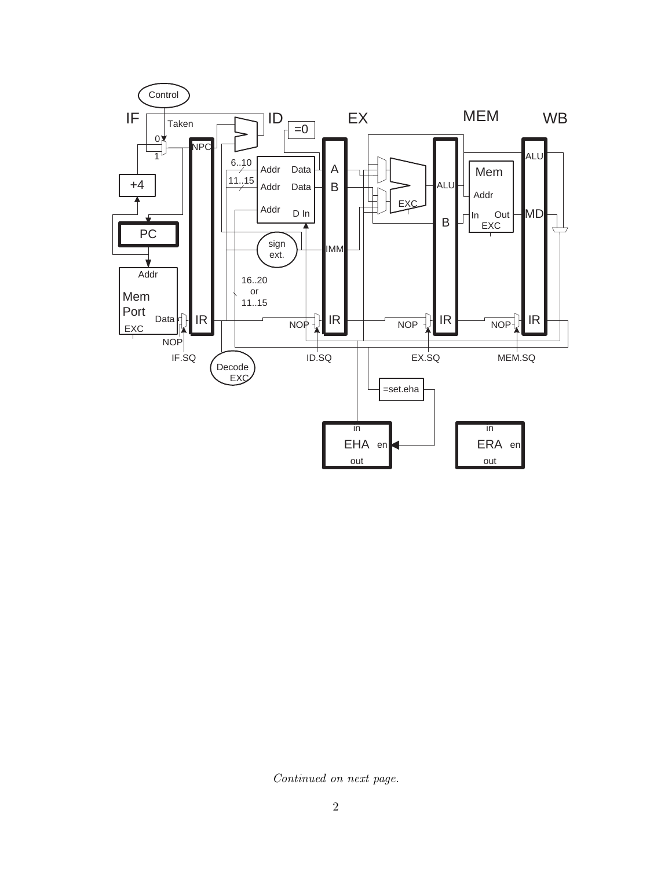

Continued on next page.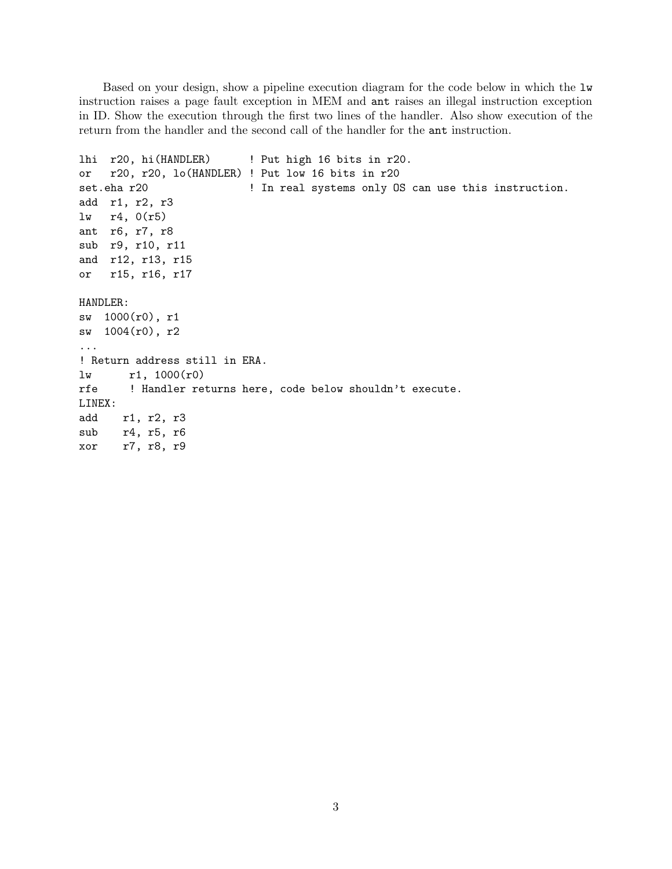Based on your design, show a pipeline execution diagram for the code below in which the lw instruction raises a page fault exception in MEM and ant raises an illegal instruction exception in ID. Show the execution through the first two lines of the handler. Also show execution of the return from the handler and the second call of the handler for the ant instruction.

```
lhi r20, hi(HANDLER) ! Put high 16 bits in r20.
or r20, r20, lo(HANDLER) ! Put low 16 bits in r20
set.eha r20 120 120 120 120 121 121 121 121 121 121 121 121 121 121 121 121 121 121 121 121 121 121 121 121 121 121 121 121 121 121 121 121 121 121 121 
add r1, r2, r3
lw r4, 0(r5)
ant r6, r7, r8
sub r9, r10, r11
and r12, r13, r15
or r15, r16, r17
HANDLER:
sw 1000(r0), r1
sw 1004(r0), r2
...
! Return address still in ERA.
lw r1, 1000(r0)
rfe ! Handler returns here, code below shouldn't execute.
LINEX:
add r1, r2, r3
sub r4, r5, r6
xor r7, r8, r9
```